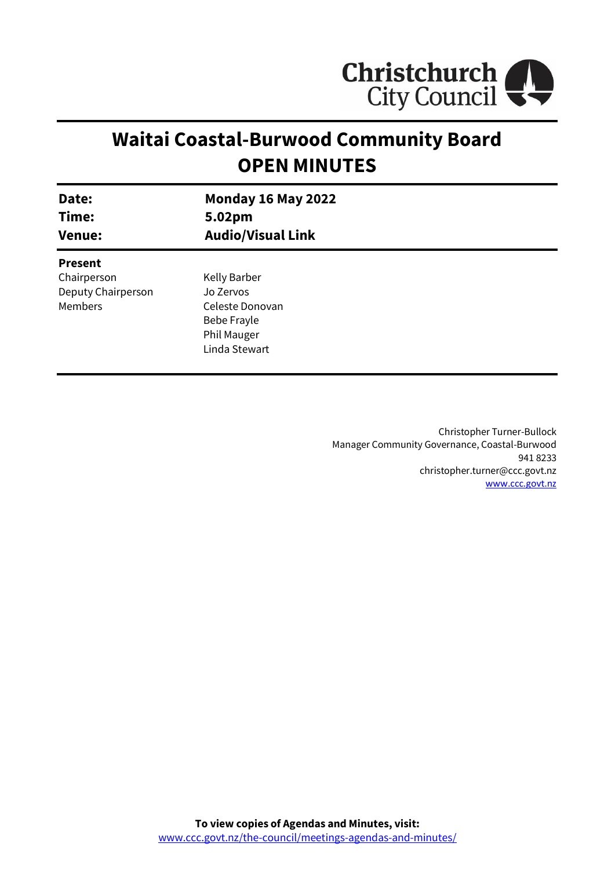

# **Waitai Coastal-Burwood Community Board OPEN MINUTES**

| Date:                                                                 | <b>Monday 16 May 2022</b>                                                                   |
|-----------------------------------------------------------------------|---------------------------------------------------------------------------------------------|
| Time:                                                                 | 5.02pm                                                                                      |
| <b>Venue:</b>                                                         | <b>Audio/Visual Link</b>                                                                    |
| <b>Present</b><br>Chairperson<br>Deputy Chairperson<br><b>Members</b> | Kelly Barber<br>Jo Zervos<br>Celeste Donovan<br>Bebe Frayle<br>Phil Mauger<br>Linda Stewart |

Christopher Turner-Bullock Manager Community Governance, Coastal-Burwood 941 8233 christopher.turner@ccc.govt.nz [www.ccc.govt.nz](http://www.ccc.govt.nz/)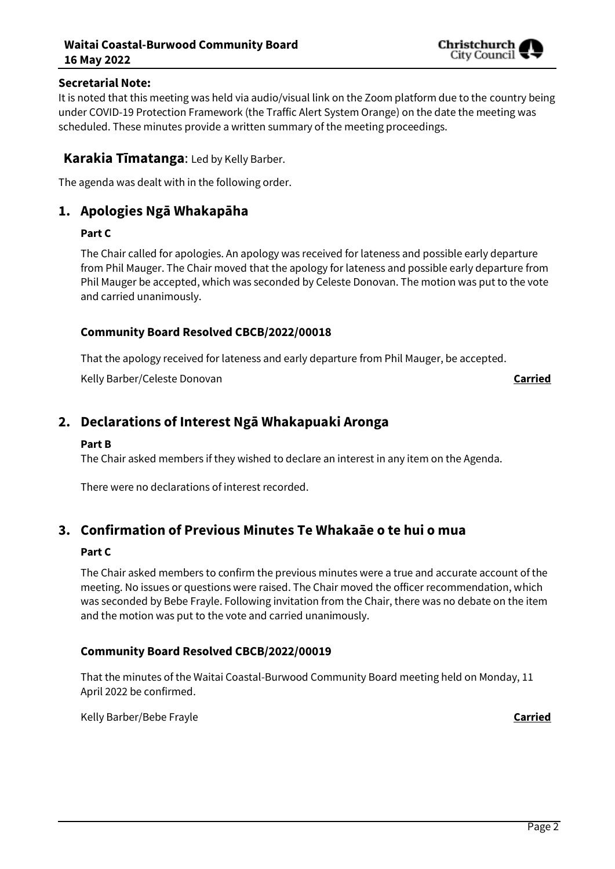### **Waitai Coastal-Burwood Community Board 16 May 2022**



#### **Secretarial Note:**

It is noted that this meeting was held via audio/visual link on the Zoom platform due to the country being under COVID-19 Protection Framework (the Traffic Alert System Orange) on the date the meeting was scheduled. These minutes provide a written summary of the meeting proceedings.

### **Karakia Tīmatanga**: Led by Kelly Barber.

The agenda was dealt with in the following order.

# **1. Apologies Ngā Whakapāha**

#### **Part C**

The Chair called for apologies. An apology was received for lateness and possible early departure from Phil Mauger. The Chair moved that the apology for lateness and possible early departure from Phil Mauger be accepted, which was seconded by Celeste Donovan. The motion was put to the vote and carried unanimously.

#### **Community Board Resolved CBCB/2022/00018**

That the apology received for lateness and early departure from Phil Mauger, be accepted.

Kelly Barber/Celeste Donovan **Carried**

# **2. Declarations of Interest Ngā Whakapuaki Aronga**

#### **Part B**

The Chair asked members if they wished to declare an interest in any item on the Agenda.

There were no declarations of interest recorded.

# **3. Confirmation of Previous Minutes Te Whakaāe o te hui o mua**

#### **Part C**

The Chair asked members to confirm the previous minutes were a true and accurate account of the meeting. No issues or questions were raised. The Chair moved the officer recommendation, which was seconded by Bebe Frayle. Following invitation from the Chair, there was no debate on the item and the motion was put to the vote and carried unanimously.

#### **Community Board Resolved CBCB/2022/00019**

That the minutes of the Waitai Coastal-Burwood Community Board meeting held on Monday, 11 April 2022 be confirmed.

Kelly Barber/Bebe Frayle **Carried**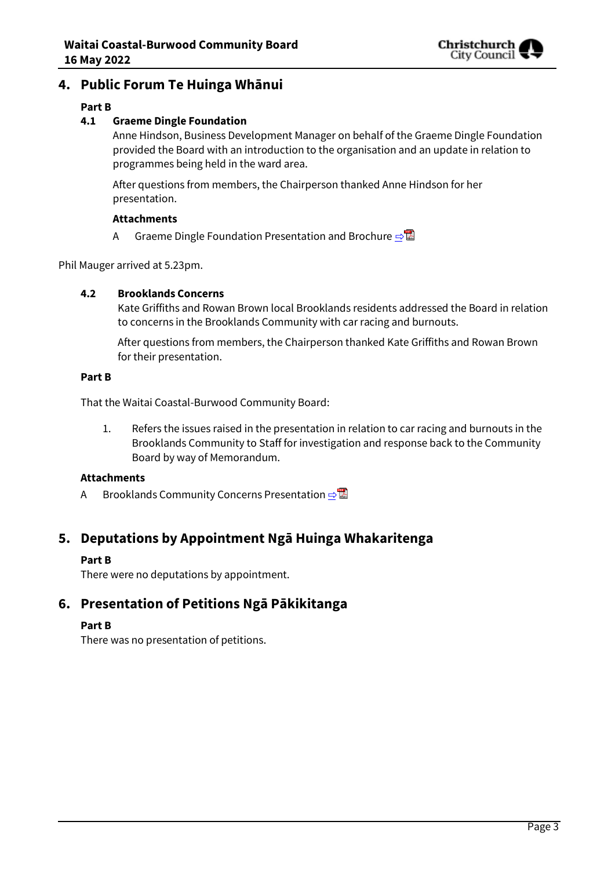

## **4. Public Forum Te Huinga Whānui**

#### **Part B**

#### **4.1 Graeme Dingle Foundation**

Anne Hindson, Business Development Manager on behalf of the Graeme Dingle Foundation provided the Board with an introduction to the organisation and an update in relation to programmes being held in the ward area.

After questions from members, the Chairperson thanked Anne Hindson for her presentation.

#### **Attachments**

A Graeme Dingle Foundation Presentation and Brochure  $\triangle$ 

Phil Mauger arrived at 5.23pm.

#### **4.2 Brooklands Concerns**

Kate Griffiths and Rowan Brown local Brooklands residents addressed the Board in relation to concerns in the Brooklands Community with car racing and burnouts.

After questions from members, the Chairperson thanked Kate Griffiths and Rowan Brown for their presentation.

#### **Part B**

That the Waitai Coastal-Burwood Community Board:

1. Refers the issues raised in the presentation in relation to car racing and burnouts in the Brooklands Community to Staff for investigation and response back to the Community Board by way of Memorandum.

#### **Attachments**

A Brooklands Community Concerns Presentation ⇒

# **5. Deputations by Appointment Ngā Huinga Whakaritenga**

#### **Part B**

There were no deputations by appointment.

# **6. Presentation of Petitions Ngā Pākikitanga**

#### **Part B**

There was no presentation of petitions.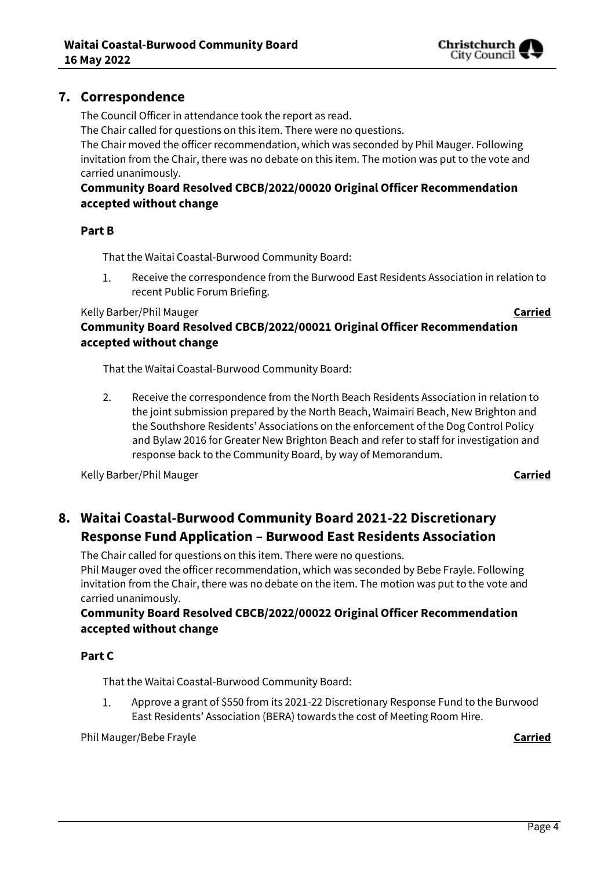

The Council Officer in attendance took the report as read.

The Chair called for questions on this item. There were no questions.

The Chair moved the officer recommendation, which was seconded by Phil Mauger. Following invitation from the Chair, there was no debate on this item. The motion was put to the vote and carried unanimously.

# **Community Board Resolved CBCB/2022/00020 Original Officer Recommendation accepted without change**

#### **Part B**

That the Waitai Coastal-Burwood Community Board:

Receive the correspondence from the Burwood East Residents Association in relation to  $1.$ recent Public Forum Briefing.

#### Kelly Barber/Phil Mauger **Carried**

Christchurch City Council

**Community Board Resolved CBCB/2022/00021 Original Officer Recommendation accepted without change** 

That the Waitai Coastal-Burwood Community Board:

2. Receive the correspondence from the North Beach Residents Association in relation to the joint submission prepared by the North Beach, Waimairi Beach, New Brighton and the Southshore Residents' Associations on the enforcement of the Dog Control Policy and Bylaw 2016 for Greater New Brighton Beach and refer to staff for investigation and response back to the Community Board, by way of Memorandum.

Kelly Barber/Phil Mauger **Carried**

# **8. Waitai Coastal-Burwood Community Board 2021-22 Discretionary Response Fund Application – Burwood East Residents Association**

The Chair called for questions on this item. There were no questions.

Phil Mauger oved the officer recommendation, which was seconded by Bebe Frayle. Following invitation from the Chair, there was no debate on the item. The motion was put to the vote and carried unanimously.

### **Community Board Resolved CBCB/2022/00022 Original Officer Recommendation accepted without change**

#### **Part C**

That the Waitai Coastal-Burwood Community Board:

Approve a grant of \$550 from its 2021-22 Discretionary Response Fund to the Burwood 1. East Residents' Association (BERA) towards the cost of Meeting Room Hire.

Phil Mauger/Bebe Frayle **Carried**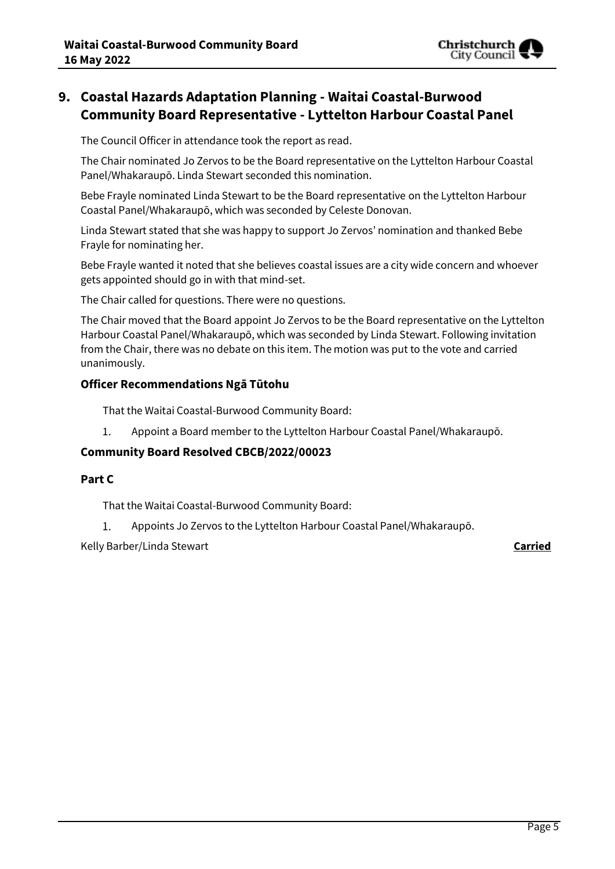

# **9. Coastal Hazards Adaptation Planning - Waitai Coastal-Burwood Community Board Representative - Lyttelton Harbour Coastal Panel**

The Council Officer in attendance took the report as read.

The Chair nominated Jo Zervos to be the Board representative on the Lyttelton Harbour Coastal Panel/Whakaraupō. Linda Stewart seconded this nomination.

Bebe Frayle nominated Linda Stewart to be the Board representative on the Lyttelton Harbour Coastal Panel/Whakaraupō, which was seconded by Celeste Donovan.

Linda Stewart stated that she was happy to support Jo Zervos' nomination and thanked Bebe Frayle for nominating her.

Bebe Frayle wanted it noted that she believes coastal issues are a city wide concern and whoever gets appointed should go in with that mind-set.

The Chair called for questions. There were no questions.

The Chair moved that the Board appoint Jo Zervos to be the Board representative on the Lyttelton Harbour Coastal Panel/Whakaraupō, which was seconded by Linda Stewart. Following invitation from the Chair, there was no debate on this item. The motion was put to the vote and carried unanimously.

#### **Officer Recommendations Ngā Tūtohu**

That the Waitai Coastal-Burwood Community Board:

Appoint a Board member to the Lyttelton Harbour Coastal Panel/Whakaraupō. 1.

#### **Community Board Resolved CBCB/2022/00023**

#### **Part C**

That the Waitai Coastal-Burwood Community Board:

1. Appoints Jo Zervos to the Lyttelton Harbour Coastal Panel/Whakaraupō.

Kelly Barber/Linda Stewart **Carried**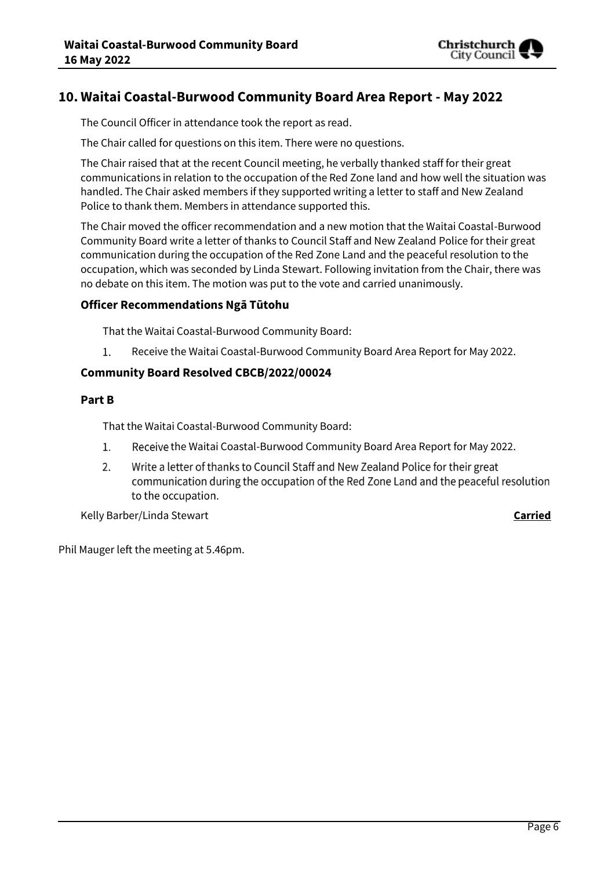

# **10. Waitai Coastal-Burwood Community Board Area Report - May 2022**

The Council Officer in attendance took the report as read.

The Chair called for questions on this item. There were no questions.

The Chair raised that at the recent Council meeting, he verbally thanked staff for their great communications in relation to the occupation of the Red Zone land and how well the situation was handled. The Chair asked members if they supported writing a letter to staff and New Zealand Police to thank them. Members in attendance supported this.

The Chair moved the officer recommendation and a new motion that the Waitai Coastal-Burwood Community Board write a letter of thanks to Council Staff and New Zealand Police for their great communication during the occupation of the Red Zone Land and the peaceful resolution to the occupation, which was seconded by Linda Stewart. Following invitation from the Chair, there was no debate on this item. The motion was put to the vote and carried unanimously.

#### **Officer Recommendations Ngā Tūtohu**

That the Waitai Coastal-Burwood Community Board:

1. Receive the Waitai Coastal-Burwood Community Board Area Report for May 2022.

#### **Community Board Resolved CBCB/2022/00024**

#### **Part B**

That the Waitai Coastal-Burwood Community Board:

- $1.$ Receive the Waitai Coastal-Burwood Community Board Area Report for May 2022.
- Write a letter of thanks to Council Staff and New Zealand Police for their great  $2<sub>1</sub>$ communication during the occupation of the Red Zone Land and the peaceful resolution to the occupation.

Kelly Barber/Linda Stewart **Carried**

Phil Mauger left the meeting at 5.46pm.